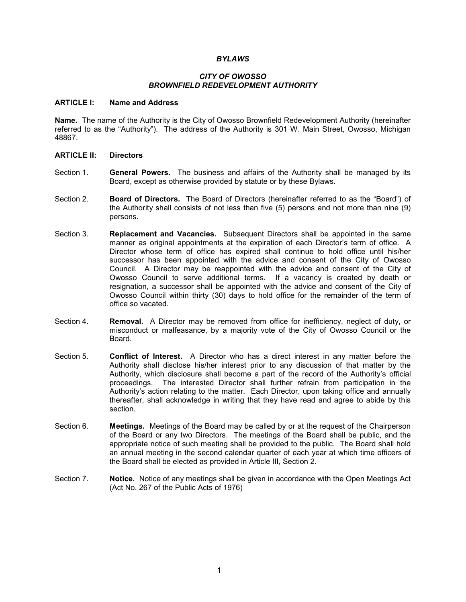#### *BYLAWS*

## *CITY OF OWOSSO BROWNFIELD REDEVELOPMENT AUTHORITY*

#### **ARTICLE I: Name and Address**

**Name.** The name of the Authority is the City of Owosso Brownfield Redevelopment Authority (hereinafter referred to as the "Authority"). The address of the Authority is 301 W. Main Street, Owosso, Michigan 48867.

#### **ARTICLE II: Directors**

- Section 1. **General Powers.** The business and affairs of the Authority shall be managed by its Board, except as otherwise provided by statute or by these Bylaws.
- Section 2. **Board of Directors.** The Board of Directors (hereinafter referred to as the "Board") of the Authority shall consists of not less than five (5) persons and not more than nine (9) persons.
- Section 3. **Replacement and Vacancies.** Subsequent Directors shall be appointed in the same manner as original appointments at the expiration of each Director's term of office. A Director whose term of office has expired shall continue to hold office until his/her successor has been appointed with the advice and consent of the City of Owosso Council. A Director may be reappointed with the advice and consent of the City of Owosso Council to serve additional terms. If a vacancy is created by death or resignation, a successor shall be appointed with the advice and consent of the City of Owosso Council within thirty (30) days to hold office for the remainder of the term of office so vacated.
- Section 4. **Removal.** A Director may be removed from office for inefficiency, neglect of duty, or misconduct or malfeasance, by a majority vote of the City of Owosso Council or the Board.
- Section 5. **Conflict of Interest.** A Director who has a direct interest in any matter before the Authority shall disclose his/her interest prior to any discussion of that matter by the Authority, which disclosure shall become a part of the record of the Authority's official proceedings. The interested Director shall further refrain from participation in the Authority's action relating to the matter. Each Director, upon taking office and annually thereafter, shall acknowledge in writing that they have read and agree to abide by this section.
- Section 6. **Meetings.** Meetings of the Board may be called by or at the request of the Chairperson of the Board or any two Directors. The meetings of the Board shall be public, and the appropriate notice of such meeting shall be provided to the public. The Board shall hold an annual meeting in the second calendar quarter of each year at which time officers of the Board shall be elected as provided in Article III, Section 2.
- Section 7. **Notice.** Notice of any meetings shall be given in accordance with the Open Meetings Act (Act No. 267 of the Public Acts of 1976)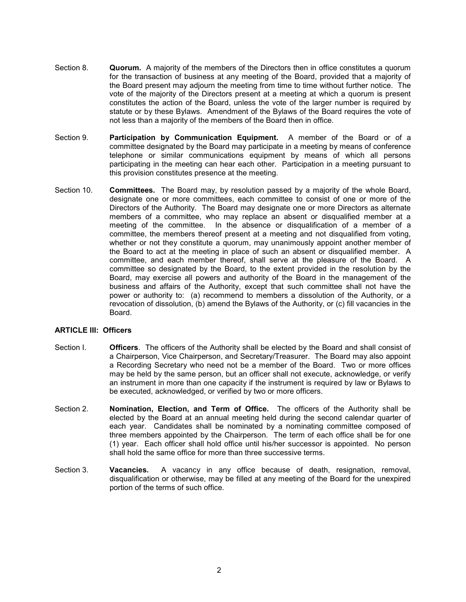- Section 8. **Quorum.** A majority of the members of the Directors then in office constitutes a quorum for the transaction of business at any meeting of the Board, provided that a majority of the Board present may adjourn the meeting from time to time without further notice. The vote of the majority of the Directors present at a meeting at which a quorum is present constitutes the action of the Board, unless the vote of the larger number is required by statute or by these Bylaws. Amendment of the Bylaws of the Board requires the vote of not less than a majority of the members of the Board then in office.
- Section 9. **Participation by Communication Equipment.** A member of the Board or of a committee designated by the Board may participate in a meeting by means of conference telephone or similar communications equipment by means of which all persons participating in the meeting can hear each other. Participation in a meeting pursuant to this provision constitutes presence at the meeting.
- Section 10. **Committees.** The Board may, by resolution passed by a majority of the whole Board, designate one or more committees, each committee to consist of one or more of the Directors of the Authority. The Board may designate one or more Directors as alternate members of a committee, who may replace an absent or disqualified member at a meeting of the committee. In the absence or disqualification of a member of a committee, the members thereof present at a meeting and not disqualified from voting, whether or not they constitute a quorum, may unanimously appoint another member of the Board to act at the meeting in place of such an absent or disqualified member. A committee, and each member thereof, shall serve at the pleasure of the Board. A committee so designated by the Board, to the extent provided in the resolution by the Board, may exercise all powers and authority of the Board in the management of the business and affairs of the Authority, except that such committee shall not have the power or authority to: (a) recommend to members a dissolution of the Authority, or a revocation of dissolution, (b) amend the Bylaws of the Authority, or (c) fill vacancies in the Board.

## **ARTICLE III: Officers**

- Section I. **Officers**. The officers of the Authority shall be elected by the Board and shall consist of a Chairperson, Vice Chairperson, and Secretary/Treasurer. The Board may also appoint a Recording Secretary who need not be a member of the Board. Two or more offices may be held by the same person, but an officer shall not execute, acknowledge, or verify an instrument in more than one capacity if the instrument is required by law or Bylaws to be executed, acknowledged, or verified by two or more officers.
- Section 2. **Nomination, Election, and Term of Office.** The officers of the Authority shall be elected by the Board at an annual meeting held during the second calendar quarter of each year. Candidates shall be nominated by a nominating committee composed of three members appointed by the Chairperson. The term of each office shall be for one (1) year. Each officer shall hold office until his/her successor is appointed. No person shall hold the same office for more than three successive terms.
- Section 3. **Vacancies.** A vacancy in any office because of death, resignation, removal, disqualification or otherwise, may be filled at any meeting of the Board for the unexpired portion of the terms of such office.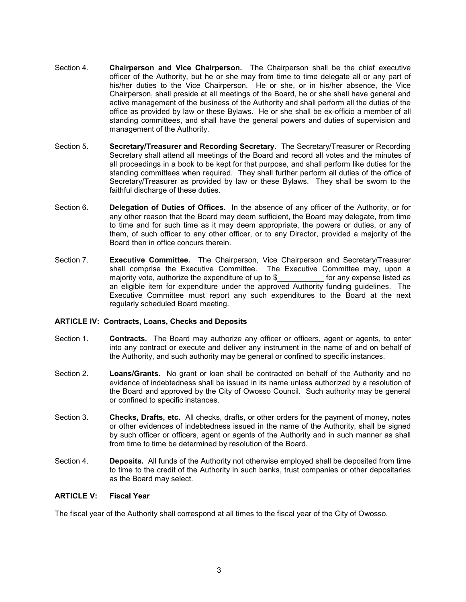- Section 4. **Chairperson and Vice Chairperson.** The Chairperson shall be the chief executive officer of the Authority, but he or she may from time to time delegate all or any part of his/her duties to the Vice Chairperson. He or she, or in his/her absence, the Vice Chairperson, shall preside at all meetings of the Board, he or she shall have general and active management of the business of the Authority and shall perform all the duties of the office as provided by law or these Bylaws. He or she shall be ex-officio a member of all standing committees, and shall have the general powers and duties of supervision and management of the Authority.
- Section 5. **Secretary/Treasurer and Recording Secretary.** The Secretary/Treasurer or Recording Secretary shall attend all meetings of the Board and record all votes and the minutes of all proceedings in a book to be kept for that purpose, and shall perform like duties for the standing committees when required. They shall further perform all duties of the office of Secretary/Treasurer as provided by law or these Bylaws. They shall be sworn to the faithful discharge of these duties.
- Section 6. **Delegation of Duties of Offices.** In the absence of any officer of the Authority, or for any other reason that the Board may deem sufficient, the Board may delegate, from time to time and for such time as it may deem appropriate, the powers or duties, or any of them, of such officer to any other officer, or to any Director, provided a majority of the Board then in office concurs therein.
- Section 7. **Executive Committee.** The Chairperson, Vice Chairperson and Secretary/Treasurer shall comprise the Executive Committee. The Executive Committee may, upon a majority vote, authorize the expenditure of up to \$ The for any expense listed as an eligible item for expenditure under the approved Authority funding guidelines. The Executive Committee must report any such expenditures to the Board at the next regularly scheduled Board meeting.

## **ARTICLE IV: Contracts, Loans, Checks and Deposits**

- Section 1. **Contracts.** The Board may authorize any officer or officers, agent or agents, to enter into any contract or execute and deliver any instrument in the name of and on behalf of the Authority, and such authority may be general or confined to specific instances.
- Section 2. **Loans/Grants.** No grant or loan shall be contracted on behalf of the Authority and no evidence of indebtedness shall be issued in its name unless authorized by a resolution of the Board and approved by the City of Owosso Council. Such authority may be general or confined to specific instances.
- Section 3. **Checks, Drafts, etc.** All checks, drafts, or other orders for the payment of money, notes or other evidences of indebtedness issued in the name of the Authority, shall be signed by such officer or officers, agent or agents of the Authority and in such manner as shall from time to time be determined by resolution of the Board.
- Section 4. **Deposits.** All funds of the Authority not otherwise employed shall be deposited from time to time to the credit of the Authority in such banks, trust companies or other depositaries as the Board may select.

## **ARTICLE V: Fiscal Year**

The fiscal year of the Authority shall correspond at all times to the fiscal year of the City of Owosso.